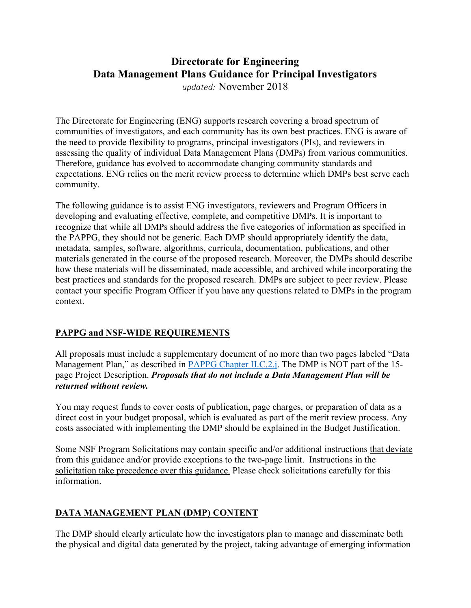# **Directorate for Engineering Data Management Plans Guidance for Principal Investigators**

*updated:* November 2018

 The Directorate for Engineering (ENG) supports research covering a broad spectrum of communities of investigators, and each community has its own best practices. ENG is aware of the need to provide flexibility to programs, principal investigators (PIs), and reviewers in assessing the quality of individual Data Management Plans (DMPs) from various communities. Therefore, guidance has evolved to accommodate changing community standards and expectations. ENG relies on the merit review process to determine which DMPs best serve each community.

 The following guidance is to assist ENG investigators, reviewers and Program Officers in developing and evaluating effective, complete, and competitive DMPs. It is important to recognize that while all DMPs should address the five categories of information as specified in the PAPPG, they should not be generic. Each DMP should appropriately identify the data, metadata, samples, software, algorithms, curricula, documentation, publications, and other materials generated in the course of the proposed research. Moreover, the DMPs should describe how these materials will be disseminated, made accessible, and archived while incorporating the best practices and standards for the proposed research. DMPs are subject to peer review. Please contact your specific Program Officer if you have any questions related to DMPs in the program context.

# **PAPPG and NSF-WIDE REQUIREMENTS**

 All proposals must include a supplementary document of no more than two pages labeled "Data Management Plan," as described in **PAPPG** Chapter II.C.2.j. The DMP is NOT part of the 15- page Project Description. *Proposals that do not include a Data Management Plan will be returned without review.* 

 You may request funds to cover costs of publication, page charges, or preparation of data as a direct cost in your budget proposal, which is evaluated as part of the merit review process. Any costs associated with implementing the DMP should be explained in the Budget Justification.

Some NSF Program Solicitations may contain specific and/or additional instructions that deviate from this guidance and/or provide exceptions to the two-page limit. Instructions in the solicitation take precedence over this guidance. Please check solicitations carefully for this information.

# **DATA MANAGEMENT PLAN (DMP) CONTENT**

 The DMP should clearly articulate how the investigators plan to manage and disseminate both the physical and digital data generated by the project, taking advantage of emerging information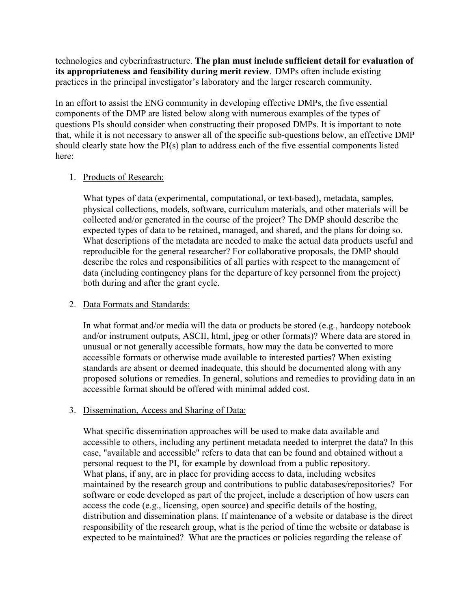technologies and cyberinfrastructure. **The plan must include sufficient detail for evaluation of its appropriateness and feasibility during merit review**. DMPs often include existing practices in the principal investigator's laboratory and the larger research community.

 In an effort to assist the ENG community in developing effective DMPs, the five essential components of the DMP are listed below along with numerous examples of the types of questions PIs should consider when constructing their proposed DMPs. It is important to note that, while it is not necessary to answer all of the specific sub-questions below, an effective DMP should clearly state how the PI(s) plan to address each of the five essential components listed here:

#### 1. Products of Research:

 What types of data (experimental, computational, or text-based), metadata, samples, physical collections, models, software, curriculum materials, and other materials will be collected and/or generated in the course of the project? The DMP should describe the expected types of data to be retained, managed, and shared, and the plans for doing so. What descriptions of the metadata are needed to make the actual data products useful and reproducible for the general researcher? For collaborative proposals, the DMP should describe the roles and responsibilities of all parties with respect to the management of data (including contingency plans for the departure of key personnel from the project) both during and after the grant cycle.

## 2. Data Formats and Standards:

 In what format and/or media will the data or products be stored (e.g., hardcopy notebook and/or instrument outputs, ASCII, html, jpeg or other formats)? Where data are stored in unusual or not generally accessible formats, how may the data be converted to more accessible formats or otherwise made available to interested parties? When existing standards are absent or deemed inadequate, this should be documented along with any proposed solutions or remedies. In general, solutions and remedies to providing data in an accessible format should be offered with minimal added cost.

## 3. Dissemination, Access and Sharing of Data:

 What specific dissemination approaches will be used to make data available and accessible to others, including any pertinent metadata needed to interpret the data? In this case, "available and accessible" refers to data that can be found and obtained without a personal request to the PI, for example by download from a public repository. What plans, if any, are in place for providing access to data, including websites maintained by the research group and contributions to public databases/repositories? For software or code developed as part of the project, include a description of how users can access the code (e.g., licensing, open source) and specific details of the hosting, distribution and dissemination plans. If maintenance of a website or database is the direct responsibility of the research group, what is the period of time the website or database is expected to be maintained? What are the practices or policies regarding the release of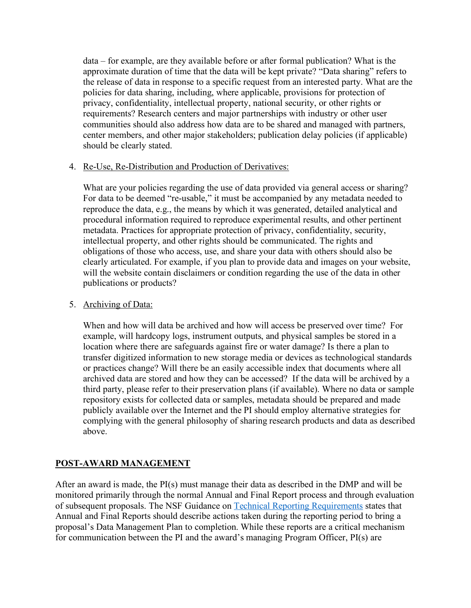data – for example, are they available before or after formal publication? What is the approximate duration of time that the data will be kept private? "Data sharing" refers to the release of data in response to a specific request from an interested party. What are the policies for data sharing, including, where applicable, provisions for protection of privacy, confidentiality, intellectual property, national security, or other rights or requirements? Research centers and major partnerships with industry or other user communities should also address how data are to be shared and managed with partners, center members, and other major stakeholders; publication delay policies (if applicable) should be clearly stated.

#### 4. Re-Use, Re-Distribution and Production of Derivatives:

What are your policies regarding the use of data provided via general access or sharing? For data to be deemed "re-usable," it must be accompanied by any metadata needed to reproduce the data, e.g., the means by which it was generated, detailed analytical and procedural information required to reproduce experimental results, and other pertinent metadata. Practices for appropriate protection of privacy, confidentiality, security, intellectual property, and other rights should be communicated. The rights and obligations of those who access, use, and share your data with others should also be clearly articulated. For example, if you plan to provide data and images on your website, will the website contain disclaimers or condition regarding the use of the data in other publications or products?

#### 5. Archiving of Data:

 When and how will data be archived and how will access be preserved over time? For example, will hardcopy logs, instrument outputs, and physical samples be stored in a location where there are safeguards against fire or water damage? Is there a plan to transfer digitized information to new storage media or devices as technological standards or practices change? Will there be an easily accessible index that documents where all archived data are stored and how they can be accessed? If the data will be archived by a third party, please refer to their preservation plans (if available). Where no data or sample repository exists for collected data or samples, metadata should be prepared and made publicly available over the Internet and the PI should employ alternative strategies for complying with the general philosophy of sharing research products and data as described above.

## **POST-AWARD MANAGEMENT**

above.<br> **POST-AWARD MANAGEMENT**<br>
After an award is made, the PI(s) must manage their data as described in the DMP and will be monitored primarily through the normal Annual and Final Report process and through evaluation of subsequent proposals. The NSF Guidance on Technical Reporting Requirements states that Annual and Final Reports should describe actions taken during the reporting period to bring a proposal's Data Management Plan to completion. While these reports are a critical mechanism for communication between the PI and the award's managing Program Officer, PI(s) are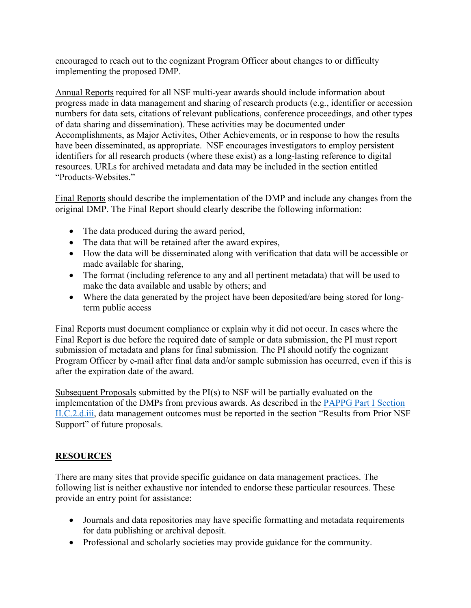encouraged to reach out to the cognizant Program Officer about changes to or difficulty implementing the proposed DMP.

 Annual Reports required for all NSF multi-year awards should include information about progress made in data management and sharing of research products (e.g., identifier or accession numbers for data sets, citations of relevant publications, conference proceedings, and other types of data sharing and dissemination). These activities may be documented under Accomplishments, as Major Activites, Other Achievements, or in response to how the results have been disseminated, as appropriate. NSF encourages investigators to employ persistent identifiers for all research products (where these exist) as a long-lasting reference to digital resources. URLs for archived metadata and data may be included in the section entitled "Products-Websites."

 Final Reports should describe the implementation of the DMP and include any changes from the original DMP. The Final Report should clearly describe the following information:

- The data produced during the award period,
- The data that will be retained after the award expires,
- • How the data will be disseminated along with verification that data will be accessible or made available for sharing,
- The format (including reference to any and all pertinent metadata) that will be used to make the data available and usable by others; and
- Where the data generated by the project have been deposited/are being stored for long-term public access

 Final Reports must document compliance or explain why it did not occur. In cases where the Final Report is due before the required date of sample or data submission, the PI must report submission of metadata and plans for final submission. The PI should notify the cognizant Program Officer by e-mail after final data and/or sample submission has occurred, even if this is after the expiration date of the award.

Subsequent Proposals submitted by the PI(s) to NSF will be partially evaluated on the implementation of the DMPs from previous awards. As described in the **PAPPG Part I Section** II.C.2.d.iii, data management outcomes must be reported in the section "Results from Prior NSF Support" of future proposals.

## **RESOURCES**

 There are many sites that provide specific guidance on data management practices. The following list is neither exhaustive nor intended to endorse these particular resources. These provide an entry point for assistance:

- Journals and data repositories may have specific formatting and metadata requirements for data publishing or archival deposit.
- • Professional and scholarly societies may provide guidance for the community.